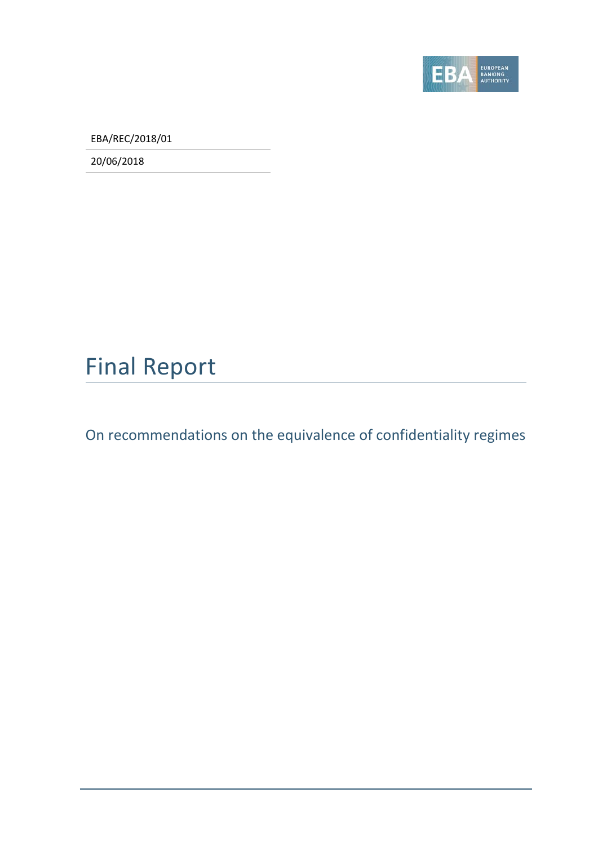

EBA/REC/2018/01

20/06/2018

### Final Report

On recommendations on the equivalence of confidentiality regimes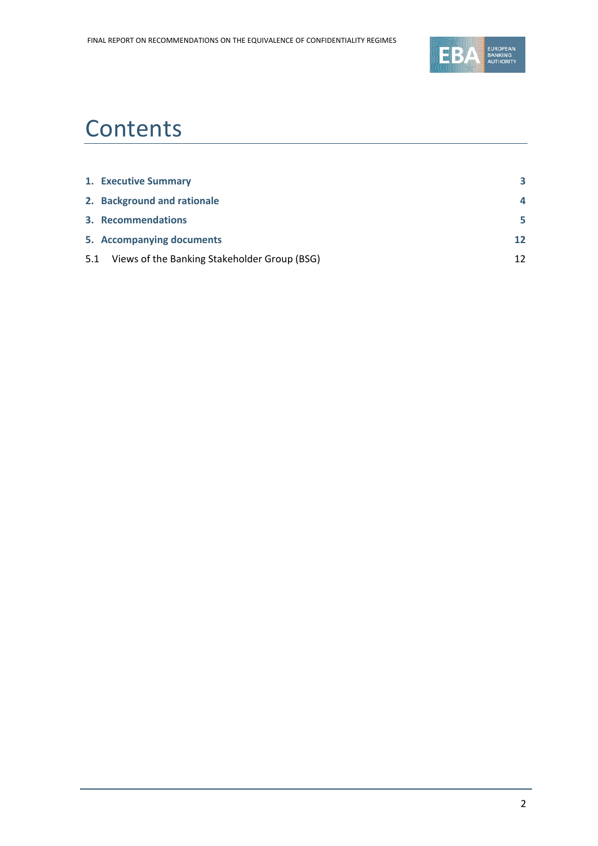

### **Contents**

|     | 1. Executive Summary                         | 3  |
|-----|----------------------------------------------|----|
|     | 2. Background and rationale                  | 4  |
|     | 3. Recommendations                           | 5  |
|     | 5. Accompanying documents                    | 12 |
| 5.1 | Views of the Banking Stakeholder Group (BSG) | 12 |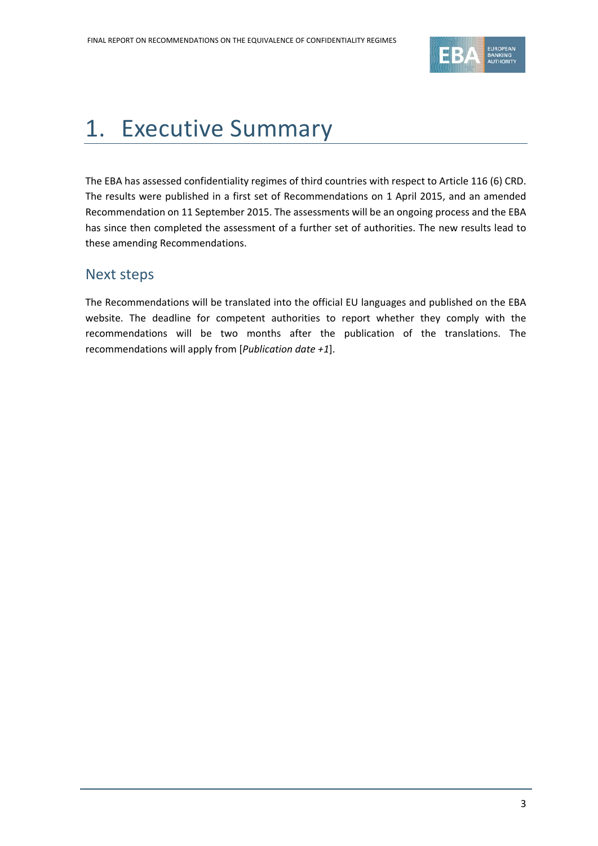

### <span id="page-2-0"></span>1. Executive Summary

The EBA has assessed confidentiality regimes of third countries with respect to Article 116 (6) CRD. The results were published in a first set of Recommendations on 1 April 2015, and an amended Recommendation on 11 September 2015. The assessments will be an ongoing process and the EBA has since then completed the assessment of a further set of authorities. The new results lead to these amending Recommendations.

#### Next steps

The Recommendations will be translated into the official EU languages and published on the EBA website. The deadline for competent authorities to report whether they comply with the recommendations will be two months after the publication of the translations. The recommendations will apply from [*Publication date +1*].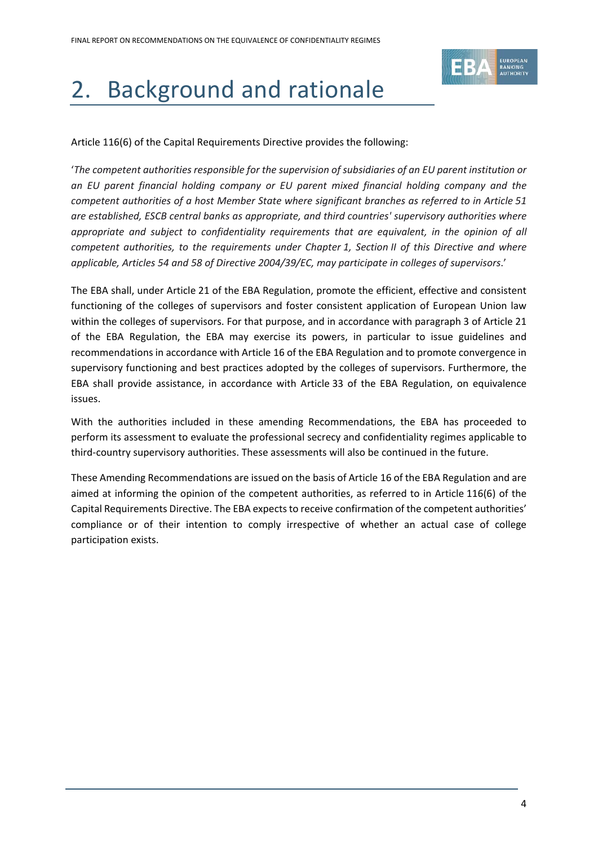

# <span id="page-3-0"></span>2. Background and rationale

Article 116(6) of the Capital Requirements Directive provides the following:

'*The competent authorities responsible for the supervision of subsidiaries of an EU parent institution or an EU parent financial holding company or EU parent mixed financial holding company and the competent authorities of a host Member State where significant branches as referred to in Article 51 are established, ESCB central banks as appropriate, and third countries' supervisory authorities where appropriate and subject to confidentiality requirements that are equivalent, in the opinion of all competent authorities, to the requirements under Chapter 1, Section II of this Directive and where applicable, Articles 54 and 58 of Directive 2004/39/EC, may participate in colleges of supervisors*.'

The EBA shall, under Article 21 of the EBA Regulation, promote the efficient, effective and consistent functioning of the colleges of supervisors and foster consistent application of European Union law within the colleges of supervisors. For that purpose, and in accordance with paragraph 3 of Article 21 of the EBA Regulation, the EBA may exercise its powers, in particular to issue guidelines and recommendations in accordance with Article 16 of the EBA Regulation and to promote convergence in supervisory functioning and best practices adopted by the colleges of supervisors. Furthermore, the EBA shall provide assistance, in accordance with Article 33 of the EBA Regulation, on equivalence issues.

With the authorities included in these amending Recommendations, the EBA has proceeded to perform its assessment to evaluate the professional secrecy and confidentiality regimes applicable to third-country supervisory authorities. These assessments will also be continued in the future.

These Amending Recommendations are issued on the basis of Article 16 of the EBA Regulation and are aimed at informing the opinion of the competent authorities, as referred to in Article 116(6) of the Capital Requirements Directive. The EBA expects to receive confirmation of the competent authorities' compliance or of their intention to comply irrespective of whether an actual case of college participation exists.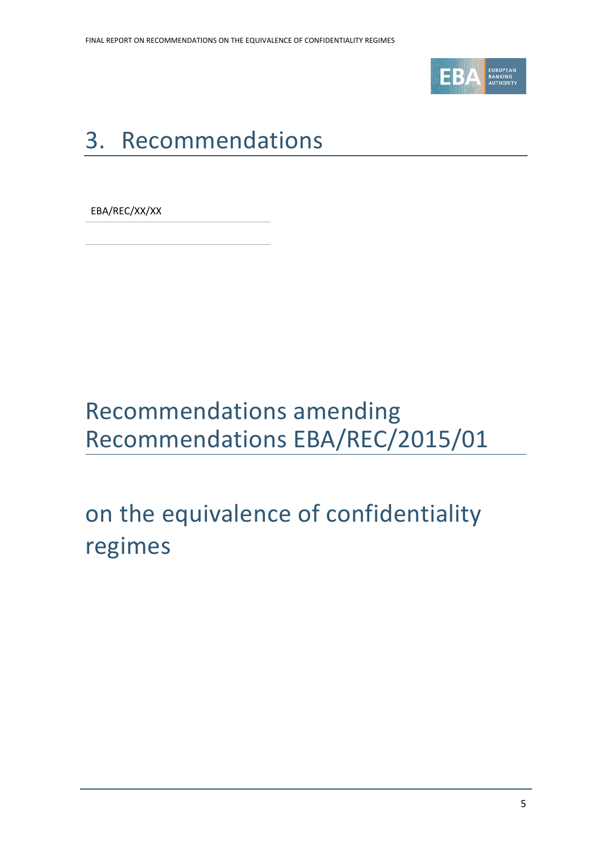

# <span id="page-4-0"></span>3. Recommendations

EBA/REC/XX/XX

## Recommendations amending Recommendations EBA/REC/2015/01

# on the equivalence of confidentiality regimes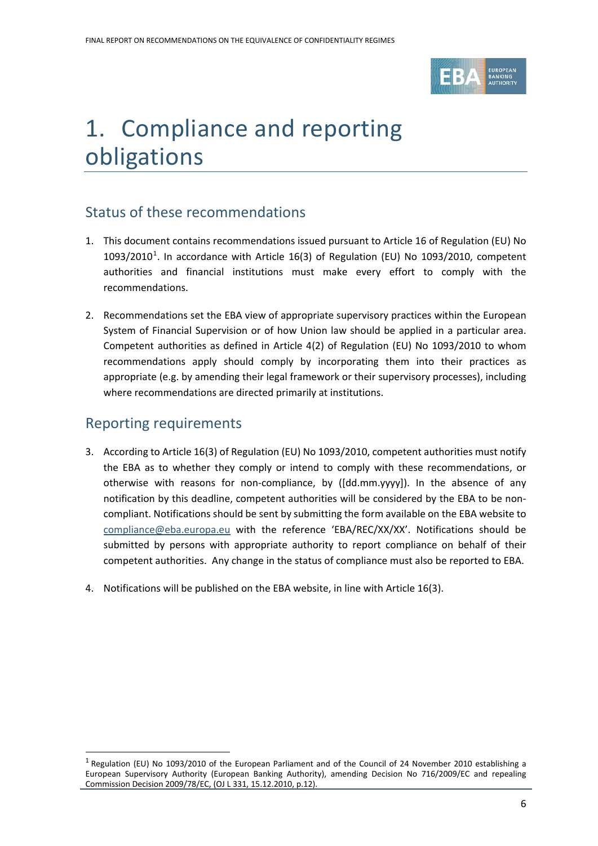

## 1. Compliance and reporting obligations

#### Status of these recommendations

- 1. This document contains recommendations issued pursuant to Article 16 of Regulation (EU) No  $1093/2010<sup>1</sup>$  $1093/2010<sup>1</sup>$ . In accordance with Article 16(3) of Regulation (EU) No 1093/2010, competent authorities and financial institutions must make every effort to comply with the recommendations.
- 2. Recommendations set the EBA view of appropriate supervisory practices within the European System of Financial Supervision or of how Union law should be applied in a particular area. Competent authorities as defined in Article 4(2) of Regulation (EU) No 1093/2010 to whom recommendations apply should comply by incorporating them into their practices as appropriate (e.g. by amending their legal framework or their supervisory processes), including where recommendations are directed primarily at institutions.

#### Reporting requirements

 $\overline{a}$ 

- 3. According to Article 16(3) of Regulation (EU) No 1093/2010, competent authorities must notify the EBA as to whether they comply or intend to comply with these recommendations, or otherwise with reasons for non-compliance, by ([dd.mm.yyyy]). In the absence of any notification by this deadline, competent authorities will be considered by the EBA to be noncompliant. Notifications should be sent by submitting the form available on the EBA website to [compliance@eba.europa.eu](mailto:compliance@eba.europa.eu) with the reference 'EBA/REC/XX/XX'. Notifications should be submitted by persons with appropriate authority to report compliance on behalf of their competent authorities. Any change in the status of compliance must also be reported to EBA.
- 4. Notifications will be published on the EBA website, in line with Article 16(3).

<span id="page-5-0"></span><sup>1</sup> Regulation (EU) No 1093/2010 of the European Parliament and of the Council of 24 November 2010 establishing a European Supervisory Authority (European Banking Authority), amending Decision No 716/2009/EC and repealing Commission Decision 2009/78/EC, (OJ L 331, 15.12.2010, p.12).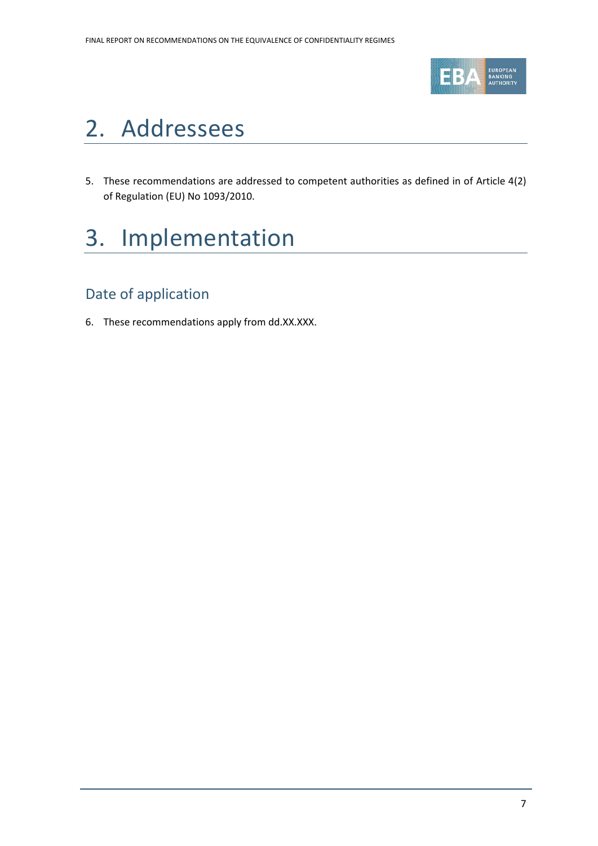

### 2. Addressees

5. These recommendations are addressed to competent authorities as defined in of Article 4(2) of Regulation (EU) No 1093/2010.

### 3. Implementation

### Date of application

6. These recommendations apply from dd.XX.XXX.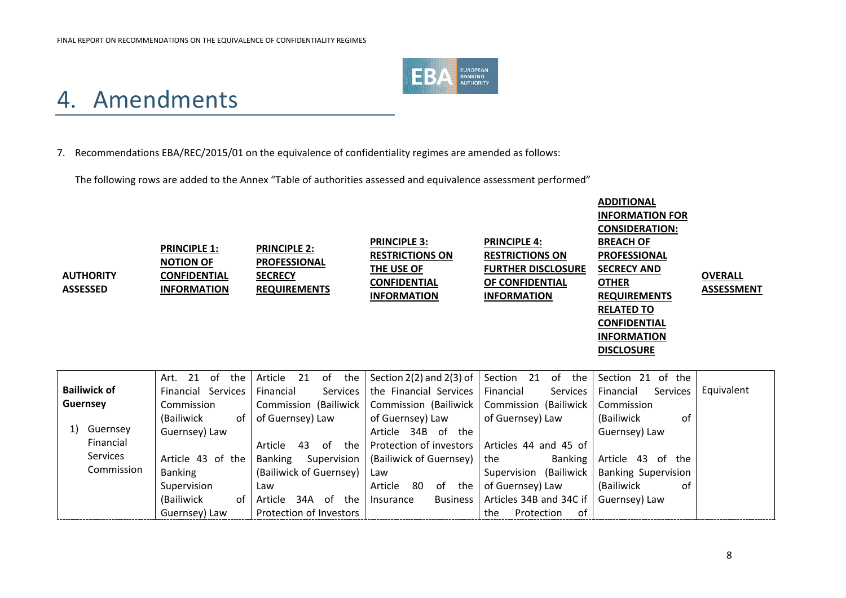

### 4. Amendments

#### 7. Recommendations EBA/REC/2015/01 on the equivalence of confidentiality regimes are amended as follows:

The following rows are added to the Annex "Table of authorities assessed and equivalence assessment performed"

| <b>AUTHORITY</b><br><b>ASSESSED</b> | <b>PRINCIPLE 1:</b><br><b>NOTION OF</b><br><b>CONFIDENTIAL</b><br><b>INFORMATION</b> | <b>PRINCIPLE 2:</b><br><b>PROFESSIONAL</b><br><b>SECRECY</b><br><b>REQUIREMENTS</b> | <b>PRINCIPLE 3:</b><br><b>RESTRICTIONS ON</b><br>THE USE OF<br><b>CONFIDENTIAL</b><br><b>INFORMATION</b> | <b>PRINCIPLE 4:</b><br><b>RESTRICTIONS ON</b><br><b>FURTHER DISCLOSURE</b><br>OF CONFIDENTIAL<br><b>INFORMATION</b> | <b>ADDITIONAL</b><br><b>INFORMATION FOR</b><br><b>CONSIDERATION:</b><br><b>BREACH OF</b><br><b>PROFESSIONAL</b><br><b>SECRECY AND</b><br><b>OTHER</b><br><b>REQUIREMENTS</b><br><b>RELATED TO</b><br><b>CONFIDENTIAL</b><br><b>INFORMATION</b><br><b>DISCLOSURE</b> | <b>OVERALL</b><br><b>ASSESSMENT</b> |
|-------------------------------------|--------------------------------------------------------------------------------------|-------------------------------------------------------------------------------------|----------------------------------------------------------------------------------------------------------|---------------------------------------------------------------------------------------------------------------------|---------------------------------------------------------------------------------------------------------------------------------------------------------------------------------------------------------------------------------------------------------------------|-------------------------------------|
| <b>Bailiwick of</b>                 | 21<br>of<br>the<br>Art.<br>Financial Services                                        | 21<br>of<br>the<br>Article<br>Services<br>Financial                                 | Section $2(2)$ and $2(3)$ of<br>the Financial Services                                                   | 21<br>Section<br>of<br>the<br>Services<br>Financial                                                                 | Section 21 of the<br>Services<br>Financial                                                                                                                                                                                                                          | Equivalent                          |
| <b>Guernsey</b>                     | Commission                                                                           | Commission (Bailiwick                                                               | Commission (Bailiwick                                                                                    | Commission (Bailiwick                                                                                               | Commission                                                                                                                                                                                                                                                          |                                     |
|                                     | (Bailiwick<br>of                                                                     | of Guernsey) Law                                                                    | of Guernsey) Law                                                                                         | of Guernsey) Law                                                                                                    | of<br>(Bailiwick                                                                                                                                                                                                                                                    |                                     |
| Guernsey<br>1)                      | Guernsey) Law                                                                        |                                                                                     | Article 34B of the                                                                                       |                                                                                                                     | Guernsey) Law                                                                                                                                                                                                                                                       |                                     |
| Financial<br><b>Services</b>        |                                                                                      | 43<br>of<br>the<br>Article                                                          | Protection of investors                                                                                  | Articles 44 and 45 of                                                                                               |                                                                                                                                                                                                                                                                     |                                     |
| Commission                          | Article 43 of the                                                                    | <b>Banking</b><br>Supervision                                                       | (Bailiwick of Guernsey)                                                                                  | the<br>Banking                                                                                                      | Article 43 of the                                                                                                                                                                                                                                                   |                                     |
|                                     | <b>Banking</b>                                                                       | (Bailiwick of Guernsey)                                                             | Law                                                                                                      | Supervision (Bailiwick                                                                                              | <b>Banking Supervision</b>                                                                                                                                                                                                                                          |                                     |
|                                     | Supervision                                                                          | Law                                                                                 | 80<br>of the<br>Article                                                                                  | of Guernsey) Law                                                                                                    | (Bailiwick<br>0f                                                                                                                                                                                                                                                    |                                     |
|                                     | (Bailiwick<br>of                                                                     | Article<br>34A of the                                                               | <b>Business</b><br>Insurance                                                                             | Articles 34B and 34C if                                                                                             | Guernsey) Law                                                                                                                                                                                                                                                       |                                     |
|                                     | Guernsey) Law                                                                        | Protection of Investors                                                             |                                                                                                          | of<br>the<br>Protection                                                                                             |                                                                                                                                                                                                                                                                     |                                     |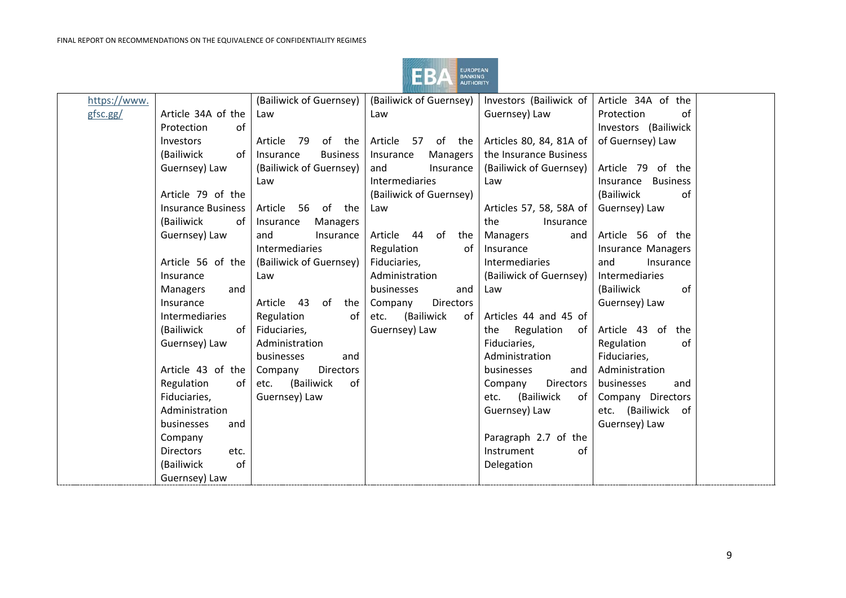

| https://www. |                           | (Bailiwick of Guernsey)      | (Bailiwick of Guernsey)     | Investors (Bailiwick of     | Article 34A of the           |  |
|--------------|---------------------------|------------------------------|-----------------------------|-----------------------------|------------------------------|--|
| gfsc.gg/     | Article 34A of the        | Law                          | Law                         | Guernsey) Law               | Protection<br>of             |  |
|              | of<br>Protection          |                              |                             |                             | Investors (Bailiwick         |  |
|              | Investors                 | - 79<br>of<br>Article<br>the | Article 57 of the           | Articles 80, 84, 81A of     | of Guernsey) Law             |  |
|              | (Bailiwick<br>of          | Insurance<br><b>Business</b> | Insurance<br>Managers       | the Insurance Business      |                              |  |
|              | Guernsey) Law             | (Bailiwick of Guernsey)      | and<br>Insurance            | (Bailiwick of Guernsey)     | Article 79 of the            |  |
|              |                           | Law                          | Intermediaries              | Law                         | <b>Business</b><br>Insurance |  |
|              | Article 79 of the         |                              | (Bailiwick of Guernsey)     |                             | (Bailiwick<br>of             |  |
|              | <b>Insurance Business</b> | Article<br>56 of the         | Law                         | Articles 57, 58, 58A of     | Guernsey) Law                |  |
|              | (Bailiwick<br>of          | Insurance<br>Managers        |                             | the<br>Insurance            |                              |  |
|              | Guernsey) Law             | and<br>Insurance             | of<br>Article 44<br>the     | Managers<br>and             | Article 56 of the            |  |
|              |                           | Intermediaries               | Regulation<br>of            | Insurance                   | <b>Insurance Managers</b>    |  |
|              | Article 56 of the         | (Bailiwick of Guernsey)      | Fiduciaries,                | <b>Intermediaries</b>       | and<br>Insurance             |  |
|              | Insurance                 | Law                          | Administration              | (Bailiwick of Guernsey)     | Intermediaries               |  |
|              | Managers<br>and           |                              | businesses<br>and           | Law                         | (Bailiwick<br>of             |  |
|              | Insurance                 | Article 43<br>of<br>the      | <b>Directors</b><br>Company |                             | Guernsey) Law                |  |
|              | Intermediaries            | Regulation<br>of             | (Bailiwick<br>etc.<br>of    | Articles 44 and 45 of       |                              |  |
|              | (Bailiwick<br>of          | Fiduciaries,                 | Guernsey) Law               | Regulation<br>of<br>the     | Article 43 of<br>the         |  |
|              | Guernsey) Law             | Administration               |                             | Fiduciaries,                | Regulation<br>of             |  |
|              |                           | businesses<br>and            |                             | Administration              | Fiduciaries,                 |  |
|              | Article 43 of the         | Company<br><b>Directors</b>  |                             | businesses<br>and           | Administration               |  |
|              | Regulation<br>of          | (Bailiwick<br>etc.<br>of     |                             | <b>Directors</b><br>Company | businesses<br>and            |  |
|              | Fiduciaries,              | Guernsey) Law                |                             | (Bailiwick<br>etc.<br>of    | Company Directors            |  |
|              | Administration            |                              |                             | Guernsey) Law               | etc. (Bailiwick<br>- of      |  |
|              | businesses<br>and         |                              |                             |                             | Guernsey) Law                |  |
|              | Company                   |                              |                             | Paragraph 2.7 of the        |                              |  |
|              | <b>Directors</b><br>etc.  |                              |                             | of<br>Instrument            |                              |  |
|              | of<br>(Bailiwick          |                              |                             | Delegation                  |                              |  |
|              | Guernsey) Law             |                              |                             |                             |                              |  |
|              |                           |                              |                             |                             |                              |  |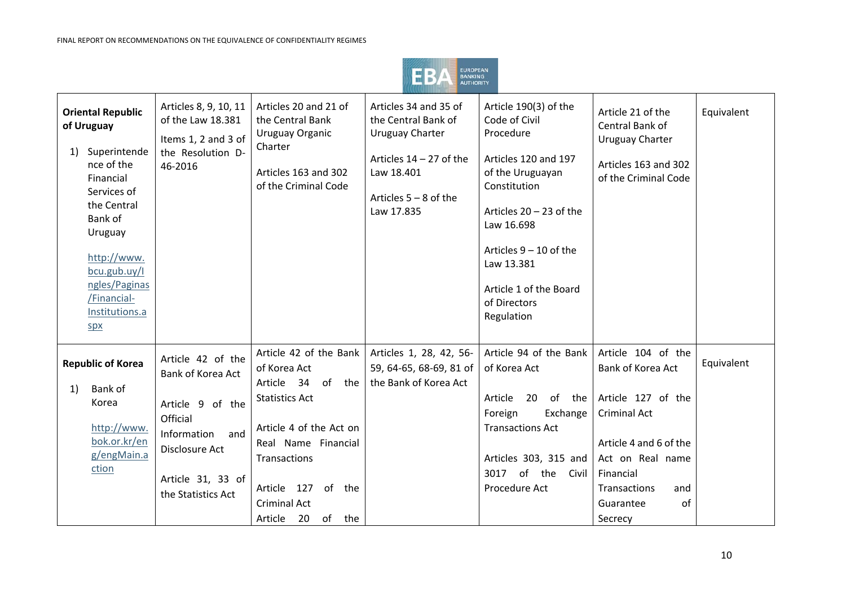

| <b>Oriental Republic</b><br>of Uruguay<br>Superintende<br>1)<br>nce of the<br>Financial<br>Services of<br>the Central<br>Bank of<br>Uruguay<br>http://www.<br>bcu.gub.uy/I<br>ngles/Paginas<br>/Financial-<br>Institutions.a<br>SDX | Articles 8, 9, 10, 11<br>of the Law 18.381<br>Items 1, 2 and 3 of<br>the Resolution D-<br>46-2016                                                         | Articles 20 and 21 of<br>the Central Bank<br>Uruguay Organic<br>Charter<br>Articles 163 and 302<br>of the Criminal Code                                                                                                        | Articles 34 and 35 of<br>the Central Bank of<br><b>Uruguay Charter</b><br>Articles $14 - 27$ of the<br>Law 18.401<br>Articles $5 - 8$ of the<br>Law 17.835 | Article 190(3) of the<br>Code of Civil<br>Procedure<br>Articles 120 and 197<br>of the Uruguayan<br>Constitution<br>Articles $20 - 23$ of the<br>Law 16.698<br>Articles $9 - 10$ of the<br>Law 13.381<br>Article 1 of the Board<br>of Directors<br>Regulation | Article 21 of the<br>Central Bank of<br><b>Uruguay Charter</b><br>Articles 163 and 302<br>of the Criminal Code                                                                                       | Equivalent |
|-------------------------------------------------------------------------------------------------------------------------------------------------------------------------------------------------------------------------------------|-----------------------------------------------------------------------------------------------------------------------------------------------------------|--------------------------------------------------------------------------------------------------------------------------------------------------------------------------------------------------------------------------------|------------------------------------------------------------------------------------------------------------------------------------------------------------|--------------------------------------------------------------------------------------------------------------------------------------------------------------------------------------------------------------------------------------------------------------|------------------------------------------------------------------------------------------------------------------------------------------------------------------------------------------------------|------------|
| <b>Republic of Korea</b><br>Bank of<br>1)<br>Korea<br>http://www.<br>bok.or.kr/en<br>g/engMain.a<br>ction                                                                                                                           | Article 42 of the<br>Bank of Korea Act<br>Article 9 of the<br>Official<br>and<br>Information<br>Disclosure Act<br>Article 31, 33 of<br>the Statistics Act | Article 42 of the Bank<br>of Korea Act<br>Article 34<br>of the<br><b>Statistics Act</b><br>Article 4 of the Act on<br>Real Name Financial<br>Transactions<br>Article 127 of the<br><b>Criminal Act</b><br>Article 20 of<br>the | Articles 1, 28, 42, 56-<br>59, 64-65, 68-69, 81 of<br>the Bank of Korea Act                                                                                | Article 94 of the Bank<br>of Korea Act<br>Article<br>20<br>of the<br>Foreign<br>Exchange<br><b>Transactions Act</b><br>Articles 303, 315 and<br>of the Civil<br>3017<br>Procedure Act                                                                        | Article 104 of the<br>Bank of Korea Act<br>Article 127 of the<br><b>Criminal Act</b><br>Article 4 and 6 of the<br>Act on Real name<br>Financial<br>Transactions<br>and<br>of<br>Guarantee<br>Secrecy | Equivalent |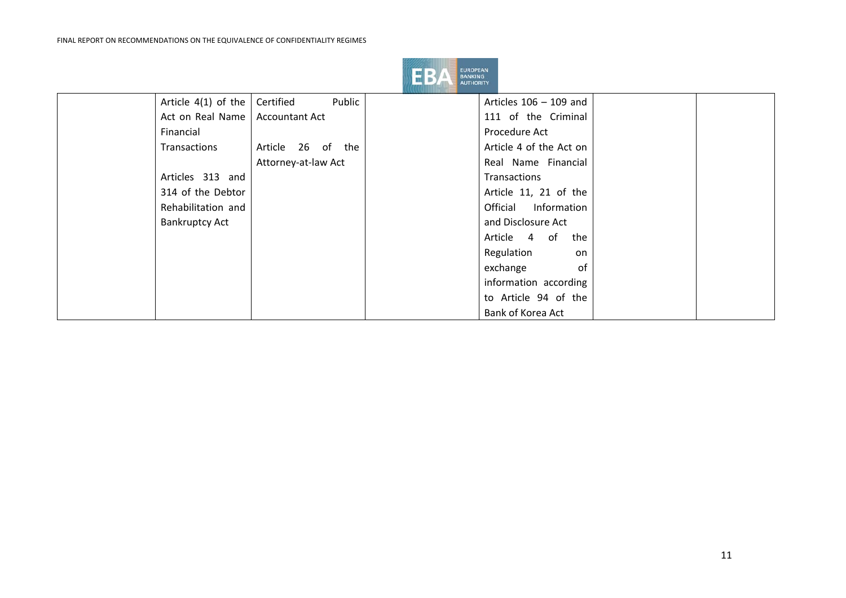

| Article $4(1)$ of the | Public<br>Certified   | Articles $106 - 109$ and |  |
|-----------------------|-----------------------|--------------------------|--|
| Act on Real Name      | <b>Accountant Act</b> | 111 of the Criminal      |  |
| Financial             |                       | Procedure Act            |  |
| Transactions          | Article 26 of the     | Article 4 of the Act on  |  |
|                       | Attorney-at-law Act   | Real Name Financial      |  |
| Articles 313 and      |                       | Transactions             |  |
| 314 of the Debtor     |                       | Article 11, 21 of the    |  |
| Rehabilitation and    |                       | Information<br>Official  |  |
| <b>Bankruptcy Act</b> |                       | and Disclosure Act       |  |
|                       |                       | Article 4 of<br>the      |  |
|                       |                       | Regulation<br>on         |  |
|                       |                       | exchange<br>0f           |  |
|                       |                       | information according    |  |
|                       |                       | to Article 94 of the     |  |
|                       |                       | Bank of Korea Act        |  |